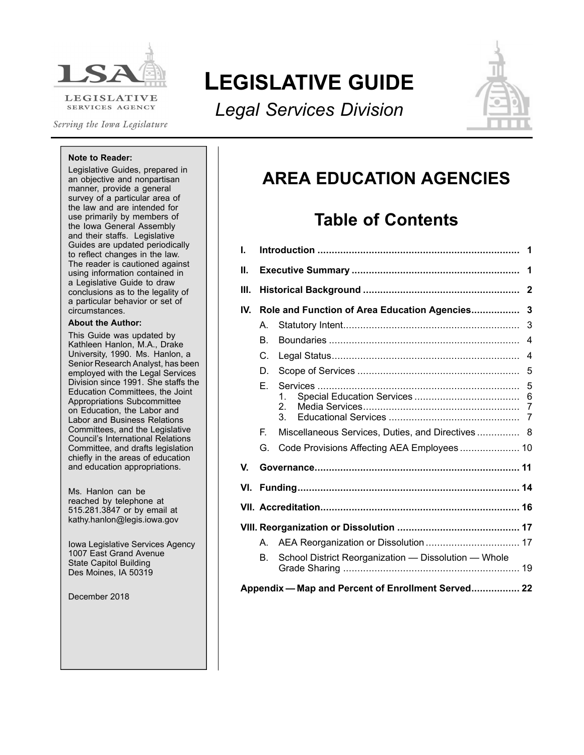

Serving the Iowa Legislature

# **LEGISLATIVE GUIDE**

*Legal Services Division*



#### **Note to Reader:**

Legislative Guides, prepared in an objective and nonpartisan manner, provide <sup>a</sup> general survey of <sup>a</sup> particular area of the law and are intended for use primarily by members of the Iowa General Assembly and their staffs. Legislative Guides are updated periodically to reflect changes in the law. The reader is cautioned against using information contained in <sup>a</sup> Legislative Guide to draw conclusions as to the legality of <sup>a</sup> particular behavior or set of circumstances.

#### **About the Author:**

This Guide was updated by Kathleen Hanlon, M.A., Drake University, 1990. Ms. Hanlon, <sup>a</sup> Senior Research Analyst, has been employed with the Legal Services Division since 1991. She staffs the Education Committees, the Joint Appropriations Subcommittee on Education, the Labor and Labor and Business Relations Committees, and the Legislative Council's International Relations Committee, and drafts legislation chiefly in the areas of education and education appropriations.

Ms. Hanlon can be reached by telephone at 515.281.3847 or by email at kathy.hanlon@legis.iowa.gov

Iowa Legislative Services Agency 1007 East Grand Avenue State Capitol Building Des Moines, IA 50319

December 2018

# **AREA EDUCATION AGENCIES**

# **Table of Contents**

| L.  |                                                |                                                      |                |  |  |  |  |  |
|-----|------------------------------------------------|------------------------------------------------------|----------------|--|--|--|--|--|
| Ш.  |                                                |                                                      |                |  |  |  |  |  |
| Ш.  |                                                |                                                      |                |  |  |  |  |  |
| IV. | Role and Function of Area Education Agencies 3 |                                                      |                |  |  |  |  |  |
|     | A.                                             |                                                      | 3              |  |  |  |  |  |
|     | В.                                             |                                                      | $\overline{4}$ |  |  |  |  |  |
|     | C.                                             |                                                      | $\overline{4}$ |  |  |  |  |  |
|     | D.                                             |                                                      | 5              |  |  |  |  |  |
|     | F.                                             | 2.<br>3.                                             | 6              |  |  |  |  |  |
|     | E.                                             | Miscellaneous Services, Duties, and Directives 8     |                |  |  |  |  |  |
|     | G.                                             | Code Provisions Affecting AEA Employees 10           |                |  |  |  |  |  |
| V.  |                                                |                                                      |                |  |  |  |  |  |
|     |                                                |                                                      |                |  |  |  |  |  |
|     |                                                |                                                      |                |  |  |  |  |  |
|     |                                                |                                                      |                |  |  |  |  |  |
|     | A.                                             |                                                      |                |  |  |  |  |  |
|     | B.                                             | School District Reorganization - Dissolution - Whole |                |  |  |  |  |  |
|     |                                                | Appendix – Map and Percent of Enrollment Served 22   |                |  |  |  |  |  |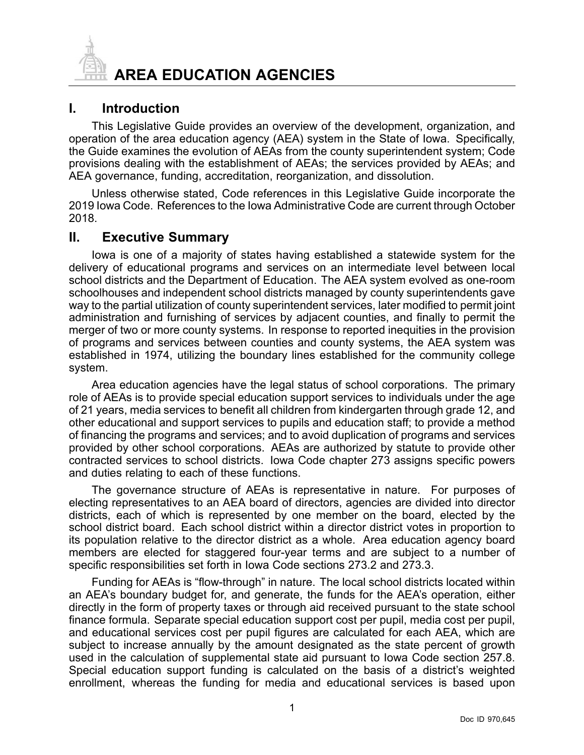<span id="page-1-0"></span>

## **I. Introduction**

This Legislative Guide provides an overview of the development, organization, and operation of the area education agency (AEA) system in the State of Iowa. Specifically, the Guide examines the evolution of AEAs from the county superintendent system; Code provisions dealing with the establishment of AEAs; the services provided by AEAs; and AEA governance, funding, accreditation, reorganization, and dissolution.

Unless otherwise stated, Code references in this Legislative Guide incorporate the 2019 Iowa Code. References to the Iowa Administrative Code are current through October 2018.

#### **II. Executive Summary**

Iowa is one of <sup>a</sup> majority of states having established <sup>a</sup> statewide system for the delivery of educational programs and services on an intermediate level between local school districts and the Department of Education. The AEA system evolved as one-room schoolhouses and independent school districts managed by county superintendents gave way to the partial utilization of county superintendent services, later modified to permit joint administration and furnishing of services by adjacent counties, and finally to permit the merger of two or more county systems. In response to reported inequities in the provision of programs and services between counties and county systems, the AEA system was established in 1974, utilizing the boundary lines established for the community college system.

Area education agencies have the legal status of school corporations. The primary role of AEAs is to provide special education support services to individuals under the age of 21 years, media services to benefit all children from kindergarten through grade 12, and other educational and support services to pupils and education staff; to provide <sup>a</sup> method of financing the programs and services; and to avoid duplication of programs and services provided by other school corporations. AEAs are authorized by statute to provide other contracted services to school districts. Iowa Code chapter 273 assigns specific powers and duties relating to each of these functions.

The governance structure of AEAs is representative in nature. For purposes of electing representatives to an AEA board of directors, agencies are divided into director districts, each of which is represented by one member on the board, elected by the school district board. Each school district within <sup>a</sup> director district votes in proportion to its population relative to the director district as <sup>a</sup> whole. Area education agency board members are elected for staggered four-year terms and are subject to <sup>a</sup> number of specific responsibilities set forth in Iowa Code sections 273.2 and 273.3.

Funding for AEAs is "flow-through" in nature. The local school districts located within an AEA's boundary budget for, and generate, the funds for the AEA's operation, either directly in the form of property taxes or through aid received pursuant to the state school finance formula. Separate special education support cost per pupil, media cost per pupil, and educational services cost per pupil figures are calculated for each AEA, which are subject to increase annually by the amount designated as the state percent of growth used in the calculation of supplemental state aid pursuant to Iowa Code section 257.8. Special education support funding is calculated on the basis of <sup>a</sup> district's weighted enrollment, whereas the funding for media and educational services is based upon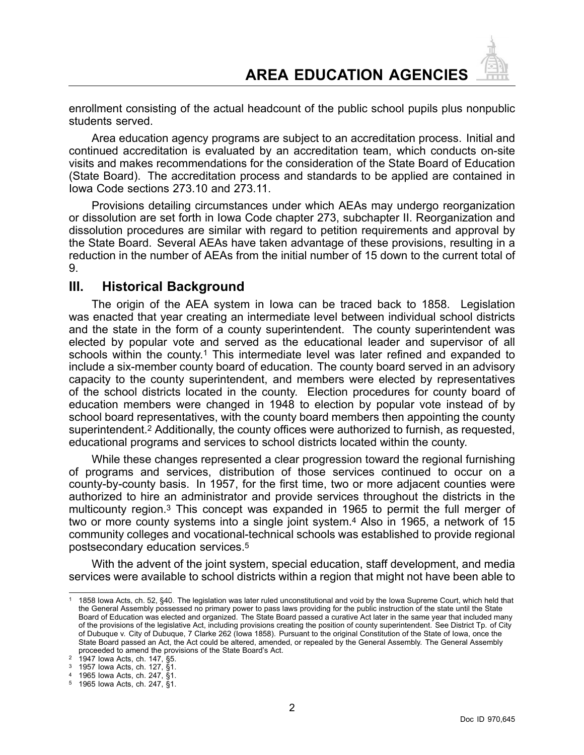<span id="page-2-0"></span>enrollment consisting of the actual headcount of the public school pupils plus nonpublic students served.

Area education agency programs are subject to an accreditation process. Initial and continued accreditation is evaluated by an accreditation team, which conducts on-site visits and makes recommendations for the consideration of the State Board of Education (State Board). The accreditation process and standards to be applied are contained in Iowa Code sections 273.10 and 273.11.

Provisions detailing circumstances under which AEAs may undergo reorganization or dissolution are set forth in Iowa Code chapter 273, subchapter II. Reorganization and dissolution procedures are similar with regard to petition requirements and approval by the State Board. Several AEAs have taken advantage of these provisions, resulting in <sup>a</sup> reduction in the number of AEAs from the initial number of 15 down to the current total of 9.

### **III. Historical Background**

The origin of the AEA system in Iowa can be traced back to 1858. Legislation was enacted that year creating an intermediate level between individual school districts and the state in the form of <sup>a</sup> county superintendent. The county superintendent was elected by popular vote and served as the educational leader and supervisor of all schools within the county.<sup>1</sup> This intermediate level was later refined and expanded to include <sup>a</sup> six-member county board of education. The county board served in an advisory capacity to the county superintendent, and members were elected by representatives of the school districts located in the county. Election procedures for county board of education members were changed in 1948 to election by popular vote instead of by school board representatives, with the county board members then appointing the county superintendent.<sup>2</sup> Additionally, the county offices were authorized to furnish, as requested, educational programs and services to school districts located within the county.

While these changes represented <sup>a</sup> clear progression toward the regional furnishing of programs and services, distribution of those services continued to occur on <sup>a</sup> county-by-county basis. In 1957, for the first time, two or more adjacent counties were authorized to hire an administrator and provide services throughout the districts in the multicounty region.<sup>3</sup> This concept was expanded in 1965 to permit the full merger of two or more county systems into <sup>a</sup> single joint system.<sup>4</sup> Also in 1965, <sup>a</sup> network of 15 community colleges and vocational-technical schools was established to provide regional postsecondary education services.<sup>5</sup>

With the advent of the joint system, special education, staff development, and media services were available to school districts within <sup>a</sup> region that might not have been able to

<sup>1</sup> 1858 Iowa Acts, ch. 52, §40. The legislation was later ruled unconstitutional and void by the Iowa Supreme Court, which held that the General Assembly possessed no primary power to pass laws providing for the public instruction of the state until the State Board of Education was elected and organized. The State Board passed <sup>a</sup> curative Act later in the same year that included many of the provisions of the legislative Act, including provisions creating the position of county superintendent. See District Tp. of City of Dubuque v. City of Dubuque, 7 Clarke 262 (Iowa 1858). Pursuant to the original Constitution of the State of Iowa, once the State Board passed an Act, the Act could be altered, amended, or repealed by the General Assembly. The General Assembly proceeded to amend the provisions of the State Board's Act.

<sup>2</sup> 1947 Iowa Acts, ch. 147, §5.

<sup>3</sup> 1957 Iowa Acts, ch. 127, §1.

<sup>4</sup> 1965 Iowa Acts, ch. 247, §1.

<sup>5</sup> 1965 Iowa Acts, ch. 247, §1.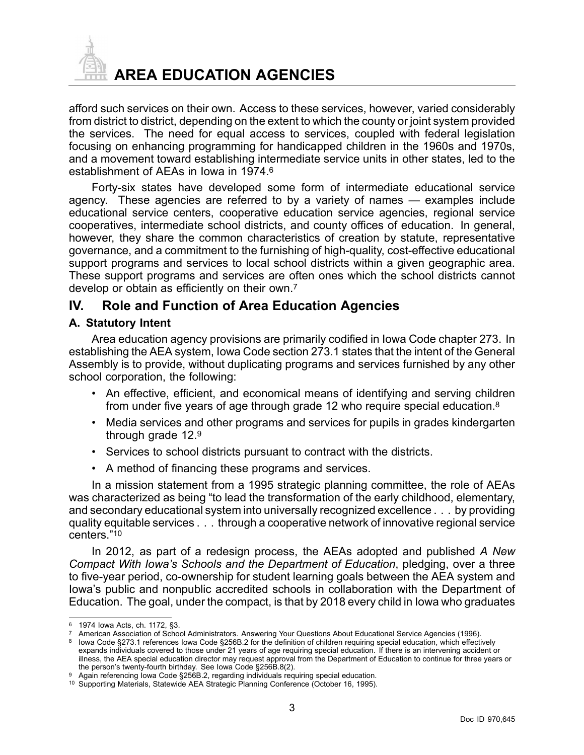<span id="page-3-0"></span>

**AREA EDUCATION AGENCIES**

afford such services on their own. Access to these services, however, varied considerably from district to district, depending on the extent to which the county or joint system provided the services. The need for equal access to services, coupled with federal legislation focusing on enhancing programming for handicapped children in the 1960s and 1970s, and <sup>a</sup> movement toward establishing intermediate service units in other states, led to the establishment of AEAs in Iowa in 1974.<sup>6</sup>

Forty-six states have developed some form of intermediate educational service agency. These agencies are referred to by <sup>a</sup> variety of names — examples include educational service centers, cooperative education service agencies, regional service cooperatives, intermediate school districts, and county offices of education. In general, however, they share the common characteristics of creation by statute, representative governance, and <sup>a</sup> commitment to the furnishing of high-quality, cost-effective educational support programs and services to local school districts within a given geographic area. These support programs and services are often ones which the school districts cannot develop or obtain as efficiently on their own.<sup>7</sup>

## **IV. Role and Function of Area Education Agencies**

#### **A. Statutory Intent**

Area education agency provisions are primarily codified in Iowa Code chapter 273. In establishing the AEA system, Iowa Code section 273.1 states that the intent of the General Assembly is to provide, without duplicating programs and services furnished by any other school corporation, the following:

- An effective, efficient, and economical means of identifying and serving children from under five years of age through grade 12 who require special education.<sup>8</sup>
- • Media services and other programs and services for pupils in grades kindergarten through grade 12.<sup>9</sup>
- Services to school districts pursuant to contract with the districts.
- A method of financing these programs and services.

In <sup>a</sup> mission statement from <sup>a</sup> 1995 strategic planning committee, the role of AEAs was characterized as being "to lead the transformation of the early childhood, elementary, and secondary educational system into universally recognized excellence . . . by providing quality equitable services . . . through <sup>a</sup> cooperative network of innovative regional service centers."<sup>10</sup>

In 2012, as part of <sup>a</sup> redesign process, the AEAs adopted and published *A New Compact With Iowa's Schools and the Department of Education*, pledging, over <sup>a</sup> three to five-year period, co-ownership for student learning goals between the AEA system and Iowa's public and nonpublic accredited schools in collaboration with the Department of Education. The goal, under the compact, is that by 2018 every child in Iowa who graduates

<sup>6</sup> 1974 Iowa Acts, ch. 1172, §3.

<sup>7</sup> American Association of School Administrators. Answering Your Questions About Educational Service Agencies (1996).

<sup>8</sup> Iowa Code §273.1 references Iowa Code §256B.2 for the definition of children requiring special education, which effectively expands individuals covered to those under 21 years of age requiring special education. If there is an intervening accident or illness, the AEA special education director may request approval from the Department of Education to continue for three years or

the person's twenty-fourth birthday. See Iowa Code §256B.8(2).

<sup>9</sup> Again referencing Iowa Code §256B.2, regarding individuals requiring special education.

<sup>10</sup> Supporting Materials, Statewide AEA Strategic Planning Conference (October 16, 1995).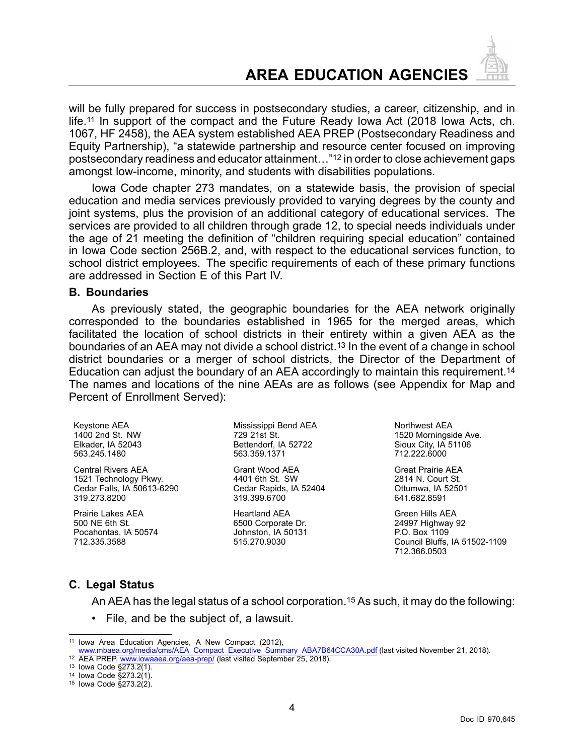# **AREA EDUCATION AGENCIES**

<span id="page-4-0"></span>will be fully prepared for success in postsecondary studies, <sup>a</sup> career, citizenship, and in life.<sup>11</sup> In support of the compact and the Future Ready Iowa Act (2018 Iowa Acts, ch. 1067, HF 2458), the AEA system established AEA PREP (Postsecondary Readiness and Equity Partnership), "a statewide partnership and resource center focused on improving postsecondary readiness and educator attainment…"<sup>12</sup> in order to close achievement gaps amongst low-income, minority, and students with disabilities populations.

Iowa Code chapter 273 mandates, on <sup>a</sup> statewide basis, the provision of special education and media services previously provided to varying degrees by the county and joint systems, plus the provision of an additional category of educational services. The services are provided to all children through grade 12, to special needs individuals under the age of 21 meeting the definition of "children requiring special education" contained in Iowa Code section 256B.2, and, with respect to the educational services function, to school district employees. The specific requirements of each of these primary functions are addressed in Section E of this Part IV.

#### **B. Boundaries**

As previously stated, the geographic boundaries for the AEA network originally corresponded to the boundaries established in 1965 for the merged areas, which facilitated the location of school districts in their entirety within <sup>a</sup> given AEA as the boundaries of an AEA may not divide a school district.<sup>13</sup> In the event of a change in school district boundaries or <sup>a</sup> merger of school districts, the Director of the Department of Education can adjust the boundary of an AEA accordingly to maintain this requirement.<sup>14</sup> The names and locations of the nine AEAs are as follows (see Appendix for Map and Percent of Enrollment Served):

Keystone AEA 1400 2nd St. NW Elkader, IA 52043 563.245.1480

Central Rivers AEA 1521 Technology Pkwy. Cedar Falls, IA 50613-6290 319.273.8200

Prairie Lakes AEA 500 NE 6th St. Pocahontas, IA 50574 712.335.3588

Mississippi Bend AEA 729 21st St. Bettendorf, IA 52722 563.359.1371

Grant Wood AEA 4401 6th St. SW Cedar Rapids, IA 52404 319.399.6700

Heartland AEA 6500 Corporate Dr. Johnston, IA 50131 515.270.9030

Northwest AEA 1520 Morningside Ave. Sioux City, IA 51106 712.222.6000

Great Prairie AEA 2814 N. Court St. Ottumwa, IA 52501 641.682.8591

Green Hills AEA 24997 Highway 92 P.O. Box 1109 Council Bluffs, IA 51502-1109 712.366.0503

#### **C. Legal Status**

An AEA has the legal status of <sup>a</sup> school corporation.<sup>15</sup> As such, it may do the following:

• File, and be the subject of, <sup>a</sup> lawsuit.

<sup>11</sup> Iowa Area Education Agencies, A New Compact (2012),

[www.mbaea.org/media/cms/AEA\\_Compact\\_Executive\\_Summary\\_ABA7B64CCA30A.pdf](https://www.mbaea.org/media/cms/AEA_Compact_Executive_Summary_ABA7B64CCA30A.pdf) (last visited November 21, 2018). <sup>12</sup> AEA PREP, [www.iowaaea.org/aea-prep/](http://www.iowaaea.org/aea-prep/) (last visited September 25, 2018).

<sup>13</sup> Iowa Code §273.2(1).

<sup>14</sup> Iowa Code §273.2(1).

<sup>15</sup> Iowa Code §273.2(2).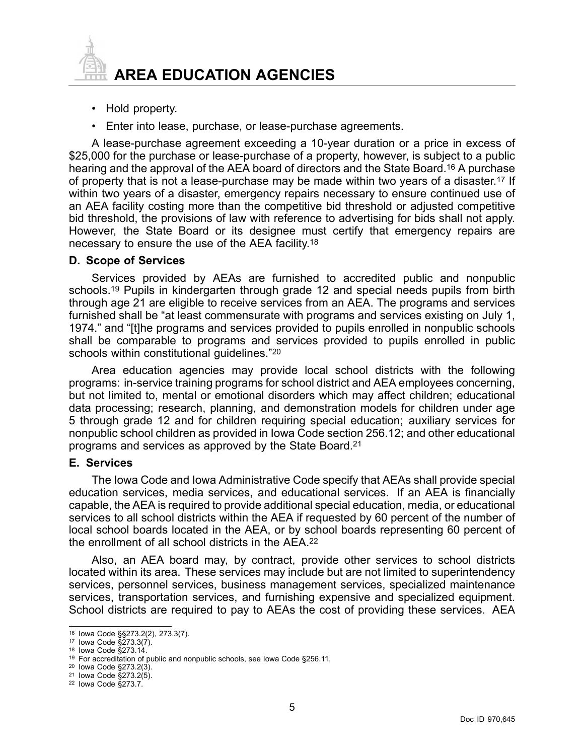<span id="page-5-0"></span>

- Hold property.
- Enter into lease, purchase, or lease-purchase agreements.

A lease-purchase agreement exceeding <sup>a</sup> 10-year duration or <sup>a</sup> price in excess of \$25,000 for the purchase or lease-purchase of <sup>a</sup> property, however, is subject to <sup>a</sup> public hearing and the approval of the AEA board of directors and the State Board.<sup>16</sup> A purchase of property that is not <sup>a</sup> lease-purchase may be made within two years of <sup>a</sup> disaster.<sup>17</sup> If within two years of <sup>a</sup> disaster, emergency repairs necessary to ensure continued use of an AEA facility costing more than the competitive bid threshold or adjusted competitive bid threshold, the provisions of law with reference to advertising for bids shall not apply. However, the State Board or its designee must certify that emergency repairs are necessary to ensure the use of the AEA facility.<sup>18</sup>

#### **D. Scope of Services**

Services provided by AEAs are furnished to accredited public and nonpublic schools.<sup>19</sup> Pupils in kindergarten through grade 12 and special needs pupils from birth through age 21 are eligible to receive services from an AEA. The programs and services furnished shall be "at least commensurate with programs and services existing on July 1, 1974." and "[t]he programs and services provided to pupils enrolled in nonpublic schools shall be comparable to programs and services provided to pupils enrolled in public schools within constitutional guidelines."<sup>20</sup>

Area education agencies may provide local school districts with the following programs: in-service training programs for school district and AEA employees concerning, but not limited to, mental or emotional disorders which may affect children; educational data processing; research, planning, and demonstration models for children under age 5 through grade 12 and for children requiring special education; auxiliary services for nonpublic school children as provided in Iowa Code section 256.12; and other educational programs and services as approved by the State Board.<sup>21</sup>

#### **E. Services**

The Iowa Code and Iowa Administrative Code specify that AEAs shall provide special education services, media services, and educational services. If an AEA is financially capable, the AEA is required to provide additional special education, media, or educational services to all school districts within the AEA if requested by 60 percent of the number of local school boards located in the AEA, or by school boards representing 60 percent of the enrollment of all school districts in the AEA.<sup>22</sup>

Also, an AEA board may, by contract, provide other services to school districts located within its area. These services may include but are not limited to superintendency services, personnel services, business management services, specialized maintenance services, transportation services, and furnishing expensive and specialized equipment. School districts are required to pay to AEAs the cost of providing these services. AEA

<sup>16</sup> Iowa Code §§273.2(2), 273.3(7).

<sup>17</sup> Iowa Code §273.3(7).

<sup>18</sup> Iowa Code §273.14.

<sup>19</sup> For accreditation of public and nonpublic schools, see Iowa Code §256.11.

<sup>20</sup> Iowa Code §273.2(3).

<sup>21</sup> Iowa Code §273.2(5).

<sup>22</sup> Iowa Code §273.7.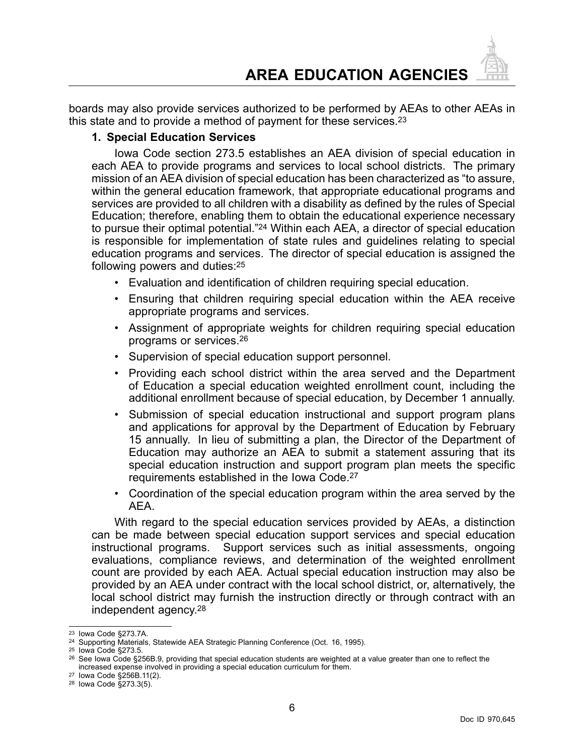<span id="page-6-0"></span>boards may also provide services authorized to be performed by AEAs to other AEAs in this state and to provide <sup>a</sup> method of payment for these services.<sup>23</sup>

#### **1. Special Education Services**

Iowa Code section 273.5 establishes an AEA division of special education in each AEA to provide programs and services to local school districts. The primary mission of an AEA division of special education has been characterized as "to assure, within the general education framework, that appropriate educational programs and services are provided to all children with <sup>a</sup> disability as defined by the rules of Special Education; therefore, enabling them to obtain the educational experience necessary to pursue their optimal potential."<sup>24</sup> Within each AEA, <sup>a</sup> director of special education is responsible for implementation of state rules and guidelines relating to special education programs and services. The director of special education is assigned the following powers and duties:<sup>25</sup>

- Evaluation and identification of children requiring special education.
- Ensuring that children requiring special education within the AEA receive appropriate programs and services.
- Assignment of appropriate weights for children requiring special education programs or services.<sup>26</sup>
- Supervision of special education support personnel.
- Providing each school district within the area served and the Department of Education <sup>a</sup> special education weighted enrollment count, including the additional enrollment because of special education, by December 1 annually.
- • Submission of special education instructional and support program plans and applications for approval by the Department of Education by February 15 annually. In lieu of submitting <sup>a</sup> plan, the Director of the Department of Education may authorize an AEA to submit <sup>a</sup> statement assuring that its special education instruction and support program plan meets the specific requirements established in the Iowa Code.<sup>27</sup>
- Coordination of the special education program within the area served by the AEA.

With regard to the special education services provided by AEAs, <sup>a</sup> distinction can be made between special education support services and special education instructional programs. Support services such as initial assessments, ongoing evaluations, compliance reviews, and determination of the weighted enrollment count are provided by each AEA. Actual special education instruction may also be provided by an AEA under contract with the local school district, or, alternatively, the local school district may furnish the instruction directly or through contract with an independent agency.<sup>28</sup>

<sup>23</sup> Iowa Code §273.7A.

<sup>24</sup> Supporting Materials, Statewide AEA Strategic Planning Conference (Oct. 16, 1995).

<sup>25</sup> Iowa Code §273.5.

<sup>26</sup> See Iowa Code §256B.9, providing that special education students are weighted at <sup>a</sup> value greater than one to reflect the increased expense involved in providing <sup>a</sup> special education curriculum for them.

<sup>27</sup> Iowa Code §256B.11(2).

<sup>28</sup> Iowa Code §273.3(5).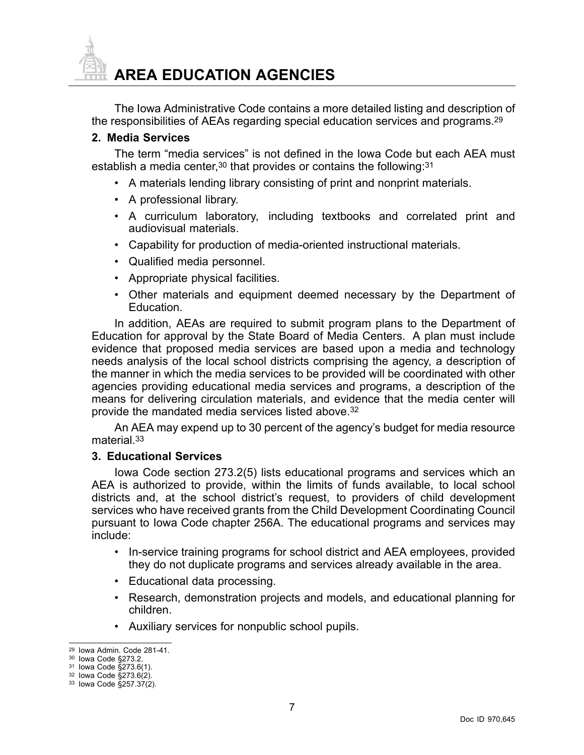<span id="page-7-0"></span>

The Iowa Administrative Code contains <sup>a</sup> more detailed listing and description of the responsibilities of AEAs regarding special education services and programs.<sup>29</sup>

#### **2. Media Services**

The term "media services" is not defined in the Iowa Code but each AEA must establish a media center, $^{\rm 30}$  that provides or contains the following: $^{\rm 31}$ 

- A materials lending library consisting of print and nonprint materials.
- A professional library.
- A curriculum laboratory, including textbooks and correlated print and audiovisual materials.
- Capability for production of media-oriented instructional materials.
- Qualified media personnel.
- Appropriate physical facilities.
- Other materials and equipment deemed necessary by the Department of Education.

In addition, AEAs are required to submit program plans to the Department of Education for approval by the State Board of Media Centers. A plan must include evidence that proposed media services are based upon <sup>a</sup> media and technology needs analysis of the local school districts comprising the agency, <sup>a</sup> description of the manner in which the media services to be provided will be coordinated with other agencies providing educational media services and programs, <sup>a</sup> description of the means for delivering circulation materials, and evidence that the media center will provide the mandated media services listed above.<sup>32</sup>

An AEA may expend up to 30 percent of the agency's budget for media resource material.<sup>33</sup>

#### **3. Educational Services**

Iowa Code section 273.2(5) lists educational programs and services which an AEA is authorized to provide, within the limits of funds available, to local school districts and, at the school district's request, to providers of child development services who have received grants from the Child Development Coordinating Council pursuant to Iowa Code chapter 256A. The educational programs and services may include:

- In-service training programs for school district and AEA employees, provided they do not duplicate programs and services already available in the area.
- Educational data processing.
- Research, demonstration projects and models, and educational planning for children.
- Auxiliary services for nonpublic school pupils.

7

<sup>29</sup> Iowa Admin. Code 281-41.

<sup>30</sup> Iowa Code §273.2.

<sup>31</sup> Iowa Code §273.6(1).

<sup>32</sup> Iowa Code §273.6(2).

<sup>33</sup> Iowa Code §257.37(2).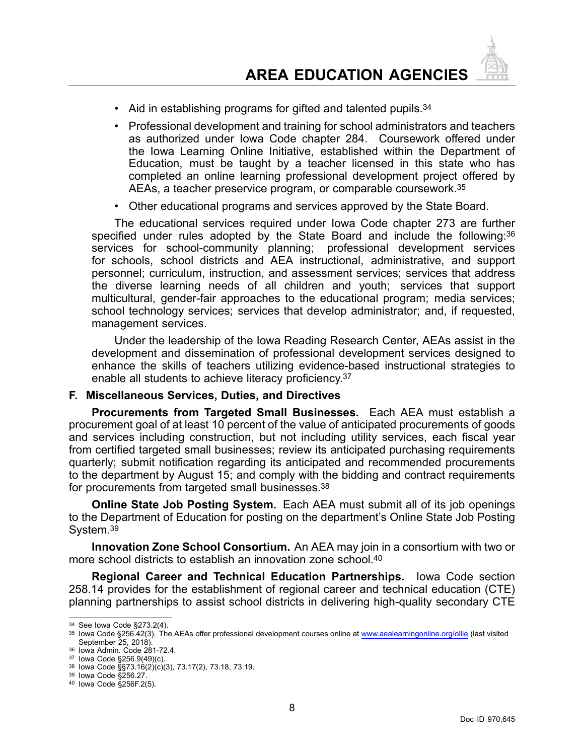- <span id="page-8-0"></span>• Aid in establishing programs for gifted and talented pupils.<sup>34</sup>
- Professional development and training for school administrators and teachers as authorized under Iowa Code chapter 284. Coursework offered under the Iowa Learning Online Initiative, established within the Department of Education, must be taught by <sup>a</sup> teacher licensed in this state who has completed an online learning professional development project offered by AEAs, <sup>a</sup> teacher preservice program, or comparable coursework.<sup>35</sup>
- Other educational programs and services approved by the State Board.

The educational services required under Iowa Code chapter 273 are further specified under rules adopted by the State Board and include the following: 36 services for school-community planning; professional development services for schools, school districts and AEA instructional, administrative, and support personnel; curriculum, instruction, and assessment services; services that address the diverse learning needs of all children and youth; services that support multicultural, gender-fair approaches to the educational program; media services; school technology services; services that develop administrator; and, if requested, management services.

Under the leadership of the Iowa Reading Research Center, AEAs assist in the development and dissemination of professional development services designed to enhance the skills of teachers utilizing evidence-based instructional strategies to enable all students to achieve literacy proficiency.<sup>37</sup>

#### **F. Miscellaneous Services, Duties, and Directives**

**Procurements from Targeted Small Businesses.** Each AEA must establish <sup>a</sup> procurement goal of at least 10 percent of the value of anticipated procurements of goods and services including construction, but not including utility services, each fiscal year from certified targeted small businesses; review its anticipated purchasing requirements quarterly; submit notification regarding its anticipated and recommended procurements to the department by August 15; and comply with the bidding and contract requirements for procurements from targeted small businesses.<sup>38</sup>

**Online State Job Posting System.** Each AEA must submit all of its job openings to the Department of Education for posting on the department's Online State Job Posting System.<sup>39</sup>

**Innovation Zone School Consortium.** An AEA may join in <sup>a</sup> consortium with two or more school districts to establish an innovation zone school.<sup>40</sup>

**Regional Career and Technical Education Partnerships.** Iowa Code section 258.14 provides for the establishment of regional career and technical education (CTE) planning partnerships to assist school districts in delivering high-quality secondary CTE

<sup>34</sup> See Iowa Code §273.2(4).

<sup>&</sup>lt;sup>35</sup> Iowa Code §256.42(3). The AEAs offer professional development courses online at www.aealearningonline.org/ollie (last visited September 25, 2018).

<sup>36</sup> Iowa Admin. Code 281-72.4.

<sup>37</sup> Iowa Code §256.9(49)(c).

<sup>38</sup> Iowa Code §§73.16(2)(c)(3), 73.17(2), 73.18, 73.19.

<sup>39</sup> Iowa Code §256.27.

<sup>40</sup> Iowa Code §256F.2(5).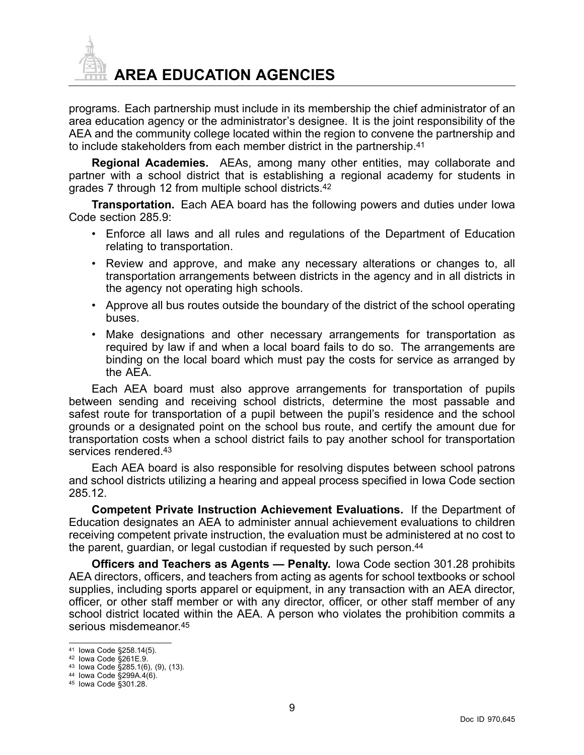

programs. Each partnership must include in its membership the chief administrator of an area education agency or the administrator's designee. It is the joint responsibility of the AEA and the community college located within the region to convene the partnership and to include stakeholders from each member district in the partnership.<sup>41</sup>

**Regional Academies.** AEAs, among many other entities, may collaborate and partner with <sup>a</sup> school district that is establishing <sup>a</sup> regional academy for students in grades 7 through 12 from multiple school districts.<sup>42</sup>

**Transportation.** Each AEA board has the following powers and duties under Iowa Code section 285.9:

- Enforce all laws and all rules and regulations of the Department of Education relating to transportation.
- • Review and approve, and make any necessary alterations or changes to, all transportation arrangements between districts in the agency and in all districts in the agency not operating high schools.
- Approve all bus routes outside the boundary of the district of the school operating buses.
- • Make designations and other necessary arrangements for transportation as required by law if and when <sup>a</sup> local board fails to do so. The arrangements are binding on the local board which must pay the costs for service as arranged by the AEA.

Each AEA board must also approve arrangements for transportation of pupils between sending and receiving school districts, determine the most passable and safest route for transportation of <sup>a</sup> pupil between the pupil's residence and the school grounds or <sup>a</sup> designated point on the school bus route, and certify the amount due for transportation costs when <sup>a</sup> school district fails to pay another school for transportation services rendered.<sup>43</sup>

Each AEA board is also responsible for resolving disputes between school patrons and school districts utilizing <sup>a</sup> hearing and appeal process specified in Iowa Code section 285.12.

**Competent Private Instruction Achievement Evaluations.** If the Department of Education designates an AEA to administer annual achievement evaluations to children receiving competent private instruction, the evaluation must be administered at no cost to the parent, guardian, or legal custodian if requested by such person.<sup>44</sup>

**Officers and Teachers as Agents — Penalty.** Iowa Code section 301.28 prohibits AEA directors, officers, and teachers from acting as agents for school textbooks or school supplies, including sports apparel or equipment, in any transaction with an AEA director, officer, or other staff member or with any director, officer, or other staff member of any school district located within the AEA. A person who violates the prohibition commits <sup>a</sup> serious misdemeanor.<sup>45</sup>

9

<sup>41</sup> Iowa Code §258.14(5).

<sup>42</sup> Iowa Code §261E.9.

<sup>43</sup> Iowa Code §285.1(6), (9), (13).

<sup>44</sup> Iowa Code §299A.4(6).

<sup>45</sup> Iowa Code §301.28.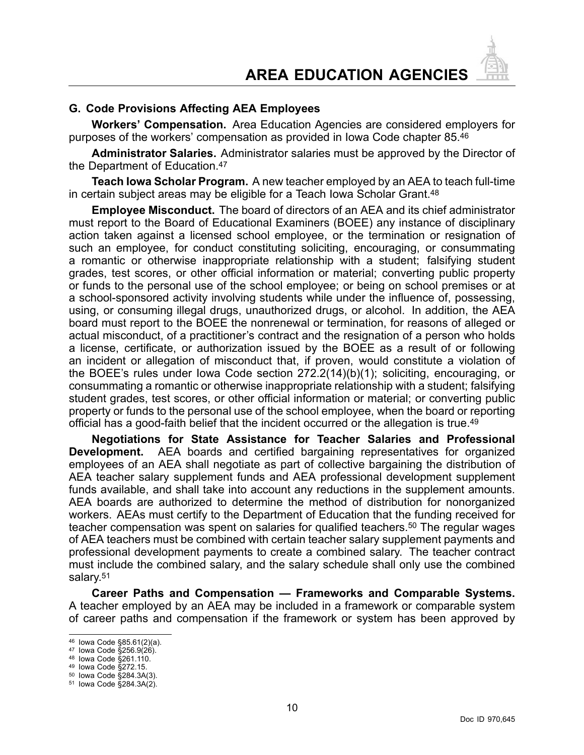#### <span id="page-10-0"></span>**G. Code Provisions Affecting AEA Employees**

**Workers' Compensation.** Area Education Agencies are considered employers for purposes of the workers' compensation as provided in Iowa Code chapter 85.<sup>46</sup>

**Administrator Salaries.** Administrator salaries must be approved by the Director of the Department of Education.<sup>47</sup>

**Teach Iowa Scholar Program.** A new teacher employed by an AEA to teach full-time in certain subject areas may be eligible for <sup>a</sup> Teach Iowa Scholar Grant.<sup>48</sup>

**Employee Misconduct.** The board of directors of an AEA and its chief administrator must report to the Board of Educational Examiners (BOEE) any instance of disciplinary action taken against <sup>a</sup> licensed school employee, or the termination or resignation of such an employee, for conduct constituting soliciting, encouraging, or consummating <sup>a</sup> romantic or otherwise inappropriate relationship with <sup>a</sup> student; falsifying student grades, test scores, or other official information or material; converting public property or funds to the personal use of the school employee; or being on school premises or at <sup>a</sup> school-sponsored activity involving students while under the influence of, possessing, using, or consuming illegal drugs, unauthorized drugs, or alcohol. In addition, the AEA board must report to the BOEE the nonrenewal or termination, for reasons of alleged or actual misconduct, of <sup>a</sup> practitioner's contract and the resignation of <sup>a</sup> person who holds <sup>a</sup> license, certificate, or authorization issued by the BOEE as <sup>a</sup> result of or following an incident or allegation of misconduct that, if proven, would constitute <sup>a</sup> violation of the BOEE's rules under Iowa Code section 272.2(14)(b)(1); soliciting, encouraging, or consummating <sup>a</sup> romantic or otherwise inappropriate relationship with <sup>a</sup> student; falsifying student grades, test scores, or other official information or material; or converting public property or funds to the personal use of the school employee, when the board or reporting official has <sup>a</sup> good-faith belief that the incident occurred or the allegation is true.<sup>49</sup>

**Negotiations for State Assistance for Teacher Salaries and Professional Development.** AEA boards and certified bargaining representatives for organized employees of an AEA shall negotiate as part of collective bargaining the distribution of AEA teacher salary supplement funds and AEA professional development supplement funds available, and shall take into account any reductions in the supplement amounts. AEA boards are authorized to determine the method of distribution for nonorganized workers. AEAs must certify to the Department of Education that the funding received for teacher compensation was spent on salaries for qualified teachers.<sup>50</sup> The regular wages of AEA teachers must be combined with certain teacher salary supplement payments and professional development payments to create <sup>a</sup> combined salary. The teacher contract must include the combined salary, and the salary schedule shall only use the combined salary.<sup>51</sup>

**Career Paths and Compensation — Frameworks and Comparable Systems.** A teacher employed by an AEA may be included in <sup>a</sup> framework or comparable system of career paths and compensation if the framework or system has been approved by

<sup>46</sup> Iowa Code §85.61(2)(a).

<sup>47</sup> Iowa Code §256.9(26).

<sup>48</sup> Iowa Code §261.110.

<sup>49</sup> Iowa Code §272.15.

<sup>50</sup> Iowa Code §284.3A(3).

<sup>51</sup> Iowa Code §284.3A(2).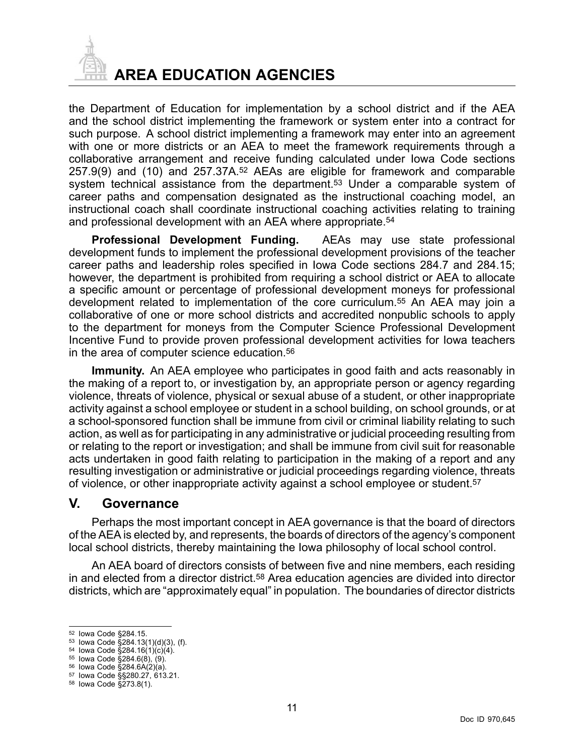<span id="page-11-0"></span>

**AREA EDUCATION AGENCIES**

the Department of Education for implementation by <sup>a</sup> school district and if the AEA and the school district implementing the framework or system enter into <sup>a</sup> contract for such purpose. A school district implementing <sup>a</sup> framework may enter into an agreement with one or more districts or an AEA to meet the framework requirements through a collaborative arrangement and receive funding calculated under Iowa Code sections 257.9(9) and (10) and 257.37A.<sup>52</sup> AEAs are eligible for framework and comparable system technical assistance from the department.<sup>53</sup> Under a comparable system of career paths and compensation designated as the instructional coaching model, an instructional coach shall coordinate instructional coaching activities relating to training and professional development with an AEA where appropriate.<sup>54</sup>

**Professional Development Funding.** AEAs may use state professional development funds to implement the professional development provisions of the teacher career paths and leadership roles specified in Iowa Code sections 284.7 and 284.15; however, the department is prohibited from requiring <sup>a</sup> school district or AEA to allocate <sup>a</sup> specific amount or percentage of professional development moneys for professional development related to implementation of the core curriculum.<sup>55</sup> An AEA may join <sup>a</sup> collaborative of one or more school districts and accredited nonpublic schools to apply to the department for moneys from the Computer Science Professional Development Incentive Fund to provide proven professional development activities for Iowa teachers in the area of computer science education.<sup>56</sup>

**Immunity.** An AEA employee who participates in good faith and acts reasonably in the making of <sup>a</sup> report to, or investigation by, an appropriate person or agency regarding violence, threats of violence, physical or sexual abuse of <sup>a</sup> student, or other inappropriate activity against <sup>a</sup> school employee or student in <sup>a</sup> school building, on school grounds, or at <sup>a</sup> school-sponsored function shall be immune from civil or criminal liability relating to such action, as well as for participating in any administrative or judicial proceeding resulting from or relating to the report or investigation; and shall be immune from civil suit for reasonable acts undertaken in good faith relating to participation in the making of <sup>a</sup> report and any resulting investigation or administrative or judicial proceedings regarding violence, threats of violence, or other inappropriate activity against <sup>a</sup> school employee or student.<sup>57</sup>

#### **V. Governance**

Perhaps the most important concept in AEA governance is that the board of directors of the AEA is elected by, and represents, the boards of directors of the agency's component local school districts, thereby maintaining the Iowa philosophy of local school control.

An AEA board of directors consists of between five and nine members, each residing in and elected from <sup>a</sup> director district.<sup>58</sup> Area education agencies are divided into director districts, which are "approximately equal" in population. The boundaries of director districts

<sup>52</sup> Iowa Code §284.15.

<sup>53</sup> Iowa Code §284.13(1)(d)(3), (f).

<sup>54</sup> Iowa Code §284.16(1)(c)(4). 55 Iowa Code §284.6(8), (9).

<sup>56</sup> Iowa Code §284.6A(2)(a).

<sup>57</sup> Iowa Code §§280.27, 613.21.

<sup>58</sup> Iowa Code §273.8(1).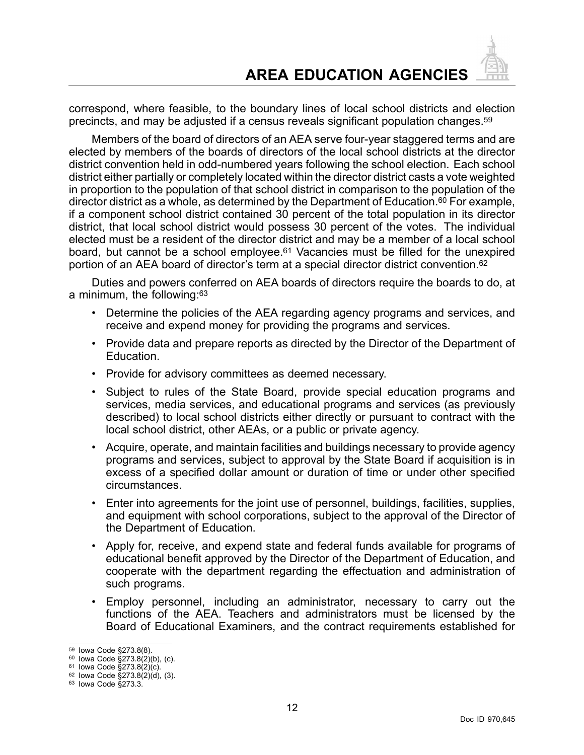correspond, where feasible, to the boundary lines of local school districts and election precincts, and may be adjusted if <sup>a</sup> census reveals significant population changes.<sup>59</sup>

Members of the board of directors of an AEA serve four-year staggered terms and are elected by members of the boards of directors of the local school districts at the director district convention held in odd-numbered years following the school election. Each school district either partially or completely located within the director district casts <sup>a</sup> vote weighted in proportion to the population of that school district in comparison to the population of the director district as <sup>a</sup> whole, as determined by the Department of Education.<sup>60</sup> For example, if <sup>a</sup> component school district contained 30 percent of the total population in its director district, that local school district would possess 30 percent of the votes. The individual elected must be <sup>a</sup> resident of the director district and may be <sup>a</sup> member of <sup>a</sup> local school board, but cannot be <sup>a</sup> school employee.<sup>61</sup> Vacancies must be filled for the unexpired portion of an AEA board of director's term at <sup>a</sup> special director district convention.<sup>62</sup>

Duties and powers conferred on AEA boards of directors require the boards to do, at <sup>a</sup> minimum, the following:<sup>63</sup>

- Determine the policies of the AEA regarding agency programs and services, and receive and expend money for providing the programs and services.
- Provide data and prepare reports as directed by the Director of the Department of Education.
- Provide for advisory committees as deemed necessary.
- • Subject to rules of the State Board, provide special education programs and services, media services, and educational programs and services (as previously described) to local school districts either directly or pursuant to contract with the local school district, other AEAs, or <sup>a</sup> public or private agency.
- • Acquire, operate, and maintain facilities and buildings necessary to provide agency programs and services, subject to approval by the State Board if acquisition is in excess of <sup>a</sup> specified dollar amount or duration of time or under other specified circumstances.
- • Enter into agreements for the joint use of personnel, buildings, facilities, supplies, and equipment with school corporations, subject to the approval of the Director of the Department of Education.
- Apply for, receive, and expend state and federal funds available for programs of educational benefit approved by the Director of the Department of Education, and cooperate with the department regarding the effectuation and administration of such programs.
- • Employ personnel, including an administrator, necessary to carry out the functions of the AEA. Teachers and administrators must be licensed by the Board of Educational Examiners, and the contract requirements established for

<sup>&</sup>lt;sup>59</sup> Iowa Code §273.8(8).<br><sup>60</sup> Iowa Code §273.8(2)(b), (c).

<sup>61</sup> Iowa Code §273.8(2)(c).

<sup>62</sup> Iowa Code §273.8(2)(d), (3).

<sup>63</sup> Iowa Code §273.3.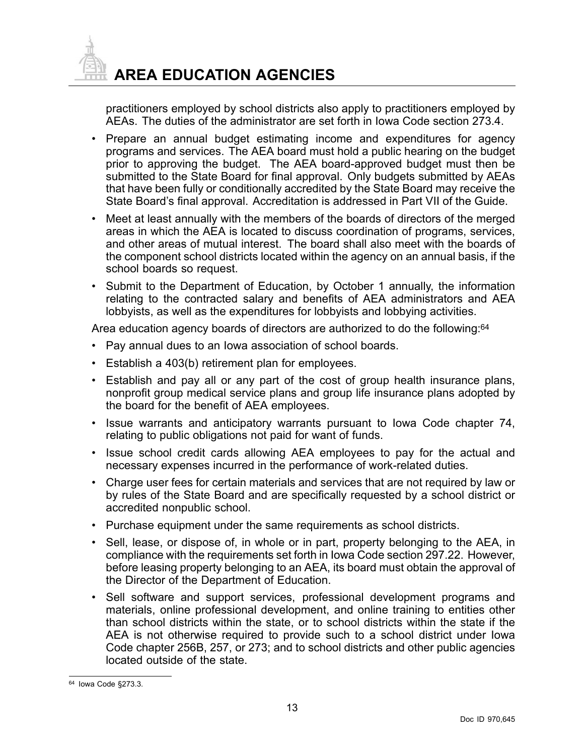

practitioners employed by school districts also apply to practitioners employed by AEAs. The duties of the administrator are set forth in Iowa Code section 273.4.

- • Prepare an annual budget estimating income and expenditures for agency programs and services. The AEA board must hold <sup>a</sup> public hearing on the budget prior to approving the budget. The AEA board-approved budget must then be submitted to the State Board for final approval. Only budgets submitted by AEAs that have been fully or conditionally accredited by the State Board may receive the State Board's final approval. Accreditation is addressed in Part VII of the Guide.
- • Meet at least annually with the members of the boards of directors of the merged areas in which the AEA is located to discuss coordination of programs, services, and other areas of mutual interest. The board shall also meet with the boards of the component school districts located within the agency on an annual basis, if the school boards so request.
- • Submit to the Department of Education, by October 1 annually, the information relating to the contracted salary and benefits of AEA administrators and AEA lobbyists, as well as the expenditures for lobbyists and lobbying activities.

Area education agency boards of directors are authorized to do the following:<sup>64</sup>

- Pay annual dues to an Iowa association of school boards.
- Establish <sup>a</sup> 403(b) retirement plan for employees.
- • Establish and pay all or any part of the cost of group health insurance plans, nonprofit group medical service plans and group life insurance plans adopted by the board for the benefit of AEA employees.
- • Issue warrants and anticipatory warrants pursuant to Iowa Code chapter 74, relating to public obligations not paid for want of funds.
- Issue school credit cards allowing AEA employees to pay for the actual and necessary expenses incurred in the performance of work-related duties.
- • Charge user fees for certain materials and services that are not required by law or by rules of the State Board and are specifically requested by <sup>a</sup> school district or accredited nonpublic school.
- Purchase equipment under the same requirements as school districts.
- • Sell, lease, or dispose of, in whole or in part, property belonging to the AEA, in compliance with the requirements set forth in Iowa Code section 297.22. However, before leasing property belonging to an AEA, its board must obtain the approval of the Director of the Department of Education.
- • Sell software and support services, professional development programs and materials, online professional development, and online training to entities other than school districts within the state, or to school districts within the state if the AEA is not otherwise required to provide such to <sup>a</sup> school district under Iowa Code chapter 256B, 257, or 273; and to school districts and other public agencies located outside of the state.

<sup>64</sup> Iowa Code §273.3.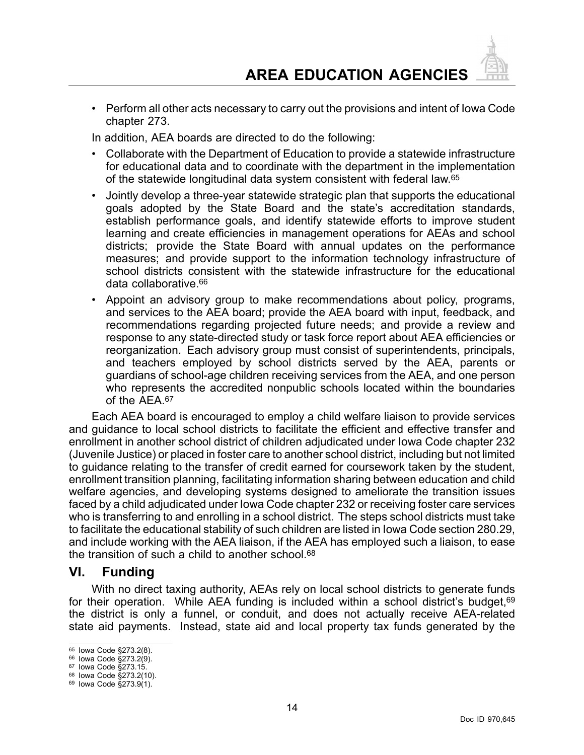<span id="page-14-0"></span>• Perform all other acts necessary to carry out the provisions and intent of Iowa Code chapter 273.

In addition, AEA boards are directed to do the following:

- • Collaborate with the Department of Education to provide <sup>a</sup> statewide infrastructure for educational data and to coordinate with the department in the implementation of the statewide longitudinal data system consistent with federal law.<sup>65</sup>
- • Jointly develop <sup>a</sup> three-year statewide strategic plan that supports the educational goals adopted by the State Board and the state's accreditation standards, establish performance goals, and identify statewide efforts to improve student learning and create efficiencies in management operations for AEAs and school districts; provide the State Board with annual updates on the performance measures; and provide support to the information technology infrastructure of school districts consistent with the statewide infrastructure for the educational data collaborative.<sup>66</sup>
- • Appoint an advisory group to make recommendations about policy, programs, and services to the AEA board; provide the AEA board with input, feedback, and recommendations regarding projected future needs; and provide <sup>a</sup> review and response to any state-directed study or task force report about AEA efficiencies or reorganization. Each advisory group must consist of superintendents, principals, and teachers employed by school districts served by the AEA, parents or guardians of school-age children receiving services from the AEA, and one person who represents the accredited nonpublic schools located within the boundaries of the AFA 67

Each AEA board is encouraged to employ <sup>a</sup> child welfare liaison to provide services and guidance to local school districts to facilitate the efficient and effective transfer and enrollment in another school district of children adjudicated under Iowa Code chapter 232 (Juvenile Justice) or placed in foster care to another school district, including but not limited to guidance relating to the transfer of credit earned for coursework taken by the student, enrollment transition planning, facilitating information sharing between education and child welfare agencies, and developing systems designed to ameliorate the transition issues faced by <sup>a</sup> child adjudicated under Iowa Code chapter 232 or receiving foster care services who is transferring to and enrolling in <sup>a</sup> school district. The steps school districts must take to facilitate the educational stability of such children are listed in Iowa Code section 280.29, and include working with the AEA liaison, if the AEA has employed such <sup>a</sup> liaison, to ease the transition of such a child to another school.<sup>68</sup>

## **VI. Funding**

With no direct taxing authority, AEAs rely on local school districts to generate funds for their operation. While AEA funding is included within a school district's budget, 69 the district is only <sup>a</sup> funnel, or conduit, and does not actually receive AEA-related state aid payments. Instead, state aid and local property tax funds generated by the

<sup>65</sup> Iowa Code §273.2(8).

<sup>66</sup> Iowa Code §273.2(9).

<sup>67</sup> Iowa Code §273.15.

<sup>68</sup> Iowa Code §273.2(10).

<sup>69</sup> Iowa Code §273.9(1).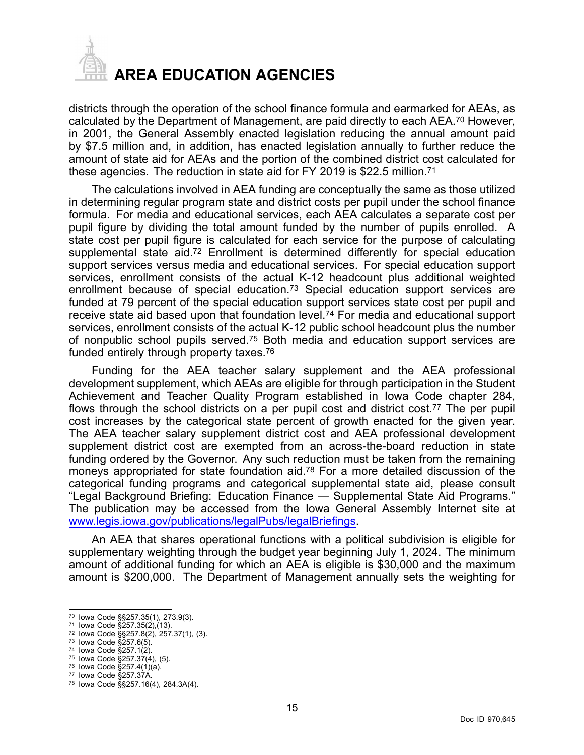

districts through the operation of the school finance formula and earmarked for AEAs, as calculated by the Department of Management, are paid directly to each AEA.<sup>70</sup> However, in 2001, the General Assembly enacted legislation reducing the annual amount paid by \$7.5 million and, in addition, has enacted legislation annually to further reduce the amount of state aid for AEAs and the portion of the combined district cost calculated for these agencies. The reduction in state aid for FY 2019 is \$22.5 million.<sup>71</sup>

The calculations involved in AEA funding are conceptually the same as those utilized in determining regular program state and district costs per pupil under the school finance formula. For media and educational services, each AEA calculates <sup>a</sup> separate cost per pupil figure by dividing the total amount funded by the number of pupils enrolled. A state cost per pupil figure is calculated for each service for the purpose of calculating supplemental state aid.<sup>72</sup> Enrollment is determined differently for special education support services versus media and educational services. For special education support services, enrollment consists of the actual K-12 headcount plus additional weighted enrollment because of special education.<sup>73</sup> Special education support services are funded at 79 percent of the special education support services state cost per pupil and receive state aid based upon that foundation level.<sup>74</sup> For media and educational support services, enrollment consists of the actual K-12 public school headcount plus the number of nonpublic school pupils served.<sup>75</sup> Both media and education support services are funded entirely through property taxes.<sup>76</sup>

Funding for the AEA teacher salary supplement and the AEA professional development supplement, which AEAs are eligible for through participation in the Student Achievement and Teacher Quality Program established in Iowa Code chapter 284, flows through the school districts on a per pupil cost and district cost.<sup>77</sup> The per pupil cost increases by the categorical state percent of growth enacted for the given year. The AEA teacher salary supplement district cost and AEA professional development supplement district cost are exempted from an across-the-board reduction in state funding ordered by the Governor. Any such reduction must be taken from the remaining moneys appropriated for state foundation aid.<sup>78</sup> For <sup>a</sup> more detailed discussion of the categorical funding programs and categorical supplemental state aid, please consult "Legal Background Briefing: Education Finance — Supplemental State Aid Programs." The publication may be accessed from the Iowa General Assembly Internet site at [www.legis.iowa.gov/publications/legalPubs/legalBriefings](https://www.legis.iowa.gov/publications/legalPubs/legalBriefings).

An AEA that shares operational functions with <sup>a</sup> political subdivision is eligible for supplementary weighting through the budget year beginning July 1, 2024. The minimum amount of additional funding for which an AEA is eligible is \$30,000 and the maximum amount is \$200,000. The Department of Management annually sets the weighting for

<sup>70</sup> Iowa Code §§257.35(1), 273.9(3).

<sup>71</sup> Iowa Code §257.35(2),(13).

<sup>72</sup> Iowa Code §§257.8(2), 257.37(1), (3).

<sup>73</sup> Iowa Code §257.6(5).

<sup>74</sup> Iowa Code §257.1(2).

<sup>75</sup> Iowa Code §257.37(4), (5).

<sup>76</sup> Iowa Code §257.4(1)(a).

<sup>77</sup> Iowa Code §257.37A.

<sup>78</sup> Iowa Code §§257.16(4), 284.3A(4).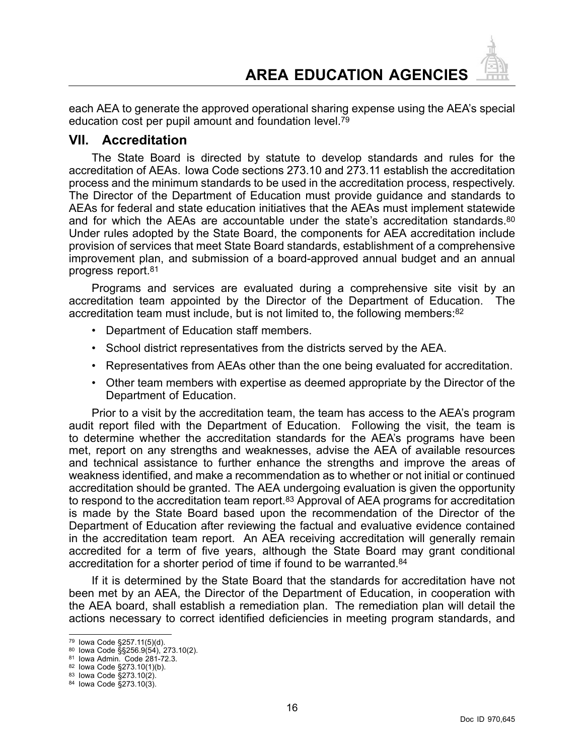<span id="page-16-0"></span>each AEA to generate the approved operational sharing expense using the AEA's special education cost per pupil amount and foundation level.<sup>79</sup>

#### **VII. Accreditation**

The State Board is directed by statute to develop standards and rules for the accreditation of AEAs. Iowa Code sections 273.10 and 273.11 establish the accreditation process and the minimum standards to be used in the accreditation process, respectively. The Director of the Department of Education must provide guidance and standards to AEAs for federal and state education initiatives that the AEAs must implement statewide and for which the AEAs are accountable under the state's accreditation standards.<sup>80</sup> Under rules adopted by the State Board, the components for AEA accreditation include provision of services that meet State Board standards, establishment of <sup>a</sup> comprehensive improvement plan, and submission of <sup>a</sup> board-approved annual budget and an annual progress report.<sup>81</sup>

Programs and services are evaluated during <sup>a</sup> comprehensive site visit by an accreditation team appointed by the Director of the Department of Education. The accreditation team must include, but is not limited to, the following members: $82$ 

- Department of Education staff members.
- •School district representatives from the districts served by the AEA.
- Representatives from AEAs other than the one being evaluated for accreditation.
- Other team members with expertise as deemed appropriate by the Director of the Department of Education.

Prior to <sup>a</sup> visit by the accreditation team, the team has access to the AEA's program audit report filed with the Department of Education. Following the visit, the team is to determine whether the accreditation standards for the AEA's programs have been met, report on any strengths and weaknesses, advise the AEA of available resources and technical assistance to further enhance the strengths and improve the areas of weakness identified, and make <sup>a</sup> recommendation as to whether or not initial or continued accreditation should be granted. The AEA undergoing evaluation is given the opportunity to respond to the accreditation team report.<sup>83</sup> Approval of AEA programs for accreditation is made by the State Board based upon the recommendation of the Director of the Department of Education after reviewing the factual and evaluative evidence contained in the accreditation team report. An AEA receiving accreditation will generally remain accredited for <sup>a</sup> term of five years, although the State Board may grant conditional accreditation for <sup>a</sup> shorter period of time if found to be warranted.<sup>84</sup>

If it is determined by the State Board that the standards for accreditation have not been met by an AEA, the Director of the Department of Education, in cooperation with the AEA board, shall establish <sup>a</sup> remediation plan. The remediation plan will detail the actions necessary to correct identified deficiencies in meeting program standards, and

<sup>79</sup> Iowa Code §257.11(5)(d).

<sup>&</sup>lt;sup>80</sup> Iowa Code §§256.9(54), 273.10(2).<br><sup>81</sup> Iowa Admin. Code 281-72.3.

<sup>82</sup> Iowa Code §273.10(1)(b).

<sup>83</sup> Iowa Code §273.10(2).

<sup>84</sup> Iowa Code §273.10(3).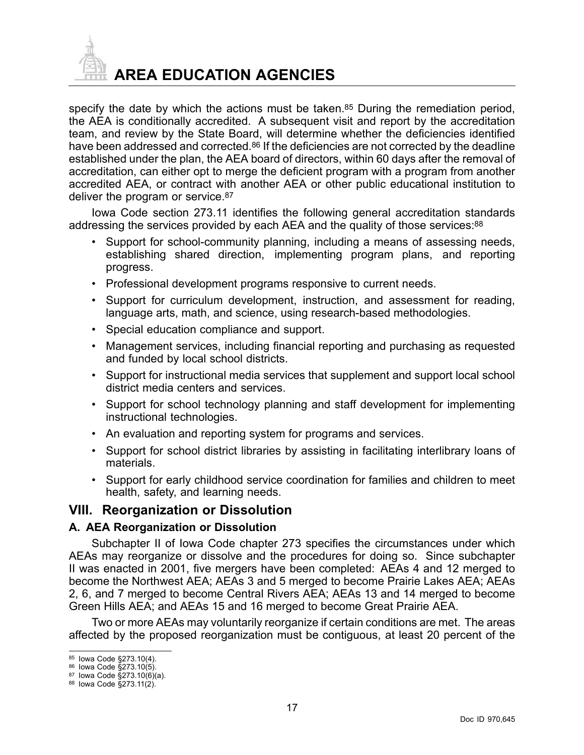<span id="page-17-0"></span>

specify the date by which the actions must be taken.<sup>85</sup> During the remediation period, the AEA is conditionally accredited. A subsequent visit and report by the accreditation team, and review by the State Board, will determine whether the deficiencies identified have been addressed and corrected.<sup>86</sup> If the deficiencies are not corrected by the deadline established under the plan, the AEA board of directors, within 60 days after the removal of accreditation, can either opt to merge the deficient program with <sup>a</sup> program from another accredited AEA, or contract with another AEA or other public educational institution to deliver the program or service.<sup>87</sup>

Iowa Code section 273.11 identifies the following general accreditation standards addressing the services provided by each AEA and the quality of those services:<sup>88</sup>

- • Support for school-community planning, including <sup>a</sup> means of assessing needs, establishing shared direction, implementing program plans, and reporting progress.
- Professional development programs responsive to current needs.
- • Support for curriculum development, instruction, and assessment for reading, language arts, math, and science, using research-based methodologies.
- •Special education compliance and support.
- • Management services, including financial reporting and purchasing as requested and funded by local school districts.
- Support for instructional media services that supplement and support local school district media centers and services.
- • Support for school technology planning and staff development for implementing instructional technologies.
- An evaluation and reporting system for programs and services.
- • Support for school district libraries by assisting in facilitating interlibrary loans of materials.
- Support for early childhood service coordination for families and children to meet health, safety, and learning needs.

### **VIII. Reorganization or Dissolution**

#### **A. AEA Reorganization or Dissolution**

Subchapter II of Iowa Code chapter 273 specifies the circumstances under which AEAs may reorganize or dissolve and the procedures for doing so. Since subchapter II was enacted in 2001, five mergers have been completed: AEAs 4 and 12 merged to become the Northwest AEA; AEAs 3 and 5 merged to become Prairie Lakes AEA; AEAs 2, 6, and 7 merged to become Central Rivers AEA; AEAs 13 and 14 merged to become Green Hills AEA; and AEAs 15 and 16 merged to become Great Prairie AEA.

Two or more AEAs may voluntarily reorganize if certain conditions are met. The areas affected by the proposed reorganization must be contiguous, at least 20 percent of the

<sup>85</sup> Iowa Code §273.10(4).

<sup>86</sup> Iowa Code §273.10(5).

<sup>87</sup> Iowa Code §273.10(6)(a).

<sup>88</sup> Iowa Code §273.11(2).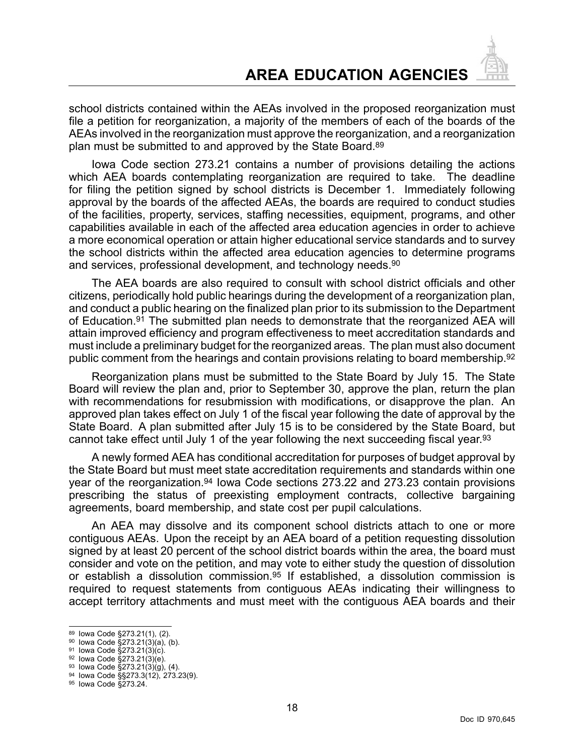school districts contained within the AEAs involved in the proposed reorganization must file <sup>a</sup> petition for reorganization, <sup>a</sup> majority of the members of each of the boards of the AEAs involved in the reorganization must approve the reorganization, and <sup>a</sup> reorganization plan must be submitted to and approved by the State Board.<sup>89</sup>

Iowa Code section 273.21 contains <sup>a</sup> number of provisions detailing the actions which AEA boards contemplating reorganization are required to take. The deadline for filing the petition signed by school districts is December 1. Immediately following approval by the boards of the affected AEAs, the boards are required to conduct studies of the facilities, property, services, staffing necessities, equipment, programs, and other capabilities available in each of the affected area education agencies in order to achieve <sup>a</sup> more economical operation or attain higher educational service standards and to survey the school districts within the affected area education agencies to determine programs and services, professional development, and technology needs.<sup>90</sup>

The AEA boards are also required to consult with school district officials and other citizens, periodically hold public hearings during the development of <sup>a</sup> reorganization plan, and conduct <sup>a</sup> public hearing on the finalized plan prior to its submission to the Department of Education.<sup>91</sup> The submitted plan needs to demonstrate that the reorganized AEA will attain improved efficiency and program effectiveness to meet accreditation standards and must include <sup>a</sup> preliminary budget for the reorganized areas. The plan must also document public comment from the hearings and contain provisions relating to board membership.<sup>92</sup>

Reorganization plans must be submitted to the State Board by July 15. The State Board will review the plan and, prior to September 30, approve the plan, return the plan with recommendations for resubmission with modifications, or disapprove the plan. An approved plan takes effect on July 1 of the fiscal year following the date of approval by the State Board. A plan submitted after July 15 is to be considered by the State Board, but cannot take effect until July 1 of the year following the next succeeding fiscal year.<sup>93</sup>

A newly formed AEA has conditional accreditation for purposes of budget approval by the State Board but must meet state accreditation requirements and standards within one year of the reorganization.<sup>94</sup> Iowa Code sections 273.22 and 273.23 contain provisions prescribing the status of preexisting employment contracts, collective bargaining agreements, board membership, and state cost per pupil calculations.

An AEA may dissolve and its component school districts attach to one or more contiguous AEAs. Upon the receipt by an AEA board of <sup>a</sup> petition requesting dissolution signed by at least 20 percent of the school district boards within the area, the board must consider and vote on the petition, and may vote to either study the question of dissolution or establish a dissolution commission.<sup>95</sup> If established, a dissolution commission is required to request statements from contiguous AEAs indicating their willingness to accept territory attachments and must meet with the contiguous AEA boards and their

<sup>89</sup> Iowa Code §273.21(1), (2).

<sup>&</sup>lt;sup>90</sup> lowa Code §273.21(3)(a), (b).

<sup>91</sup> Iowa Code §273.21(3)(c).

<sup>92</sup> Iowa Code §273.21(3)(e).

<sup>&</sup>lt;sup>93</sup> Iowa Code §273.21(3)(g), (4).

<sup>94</sup> Iowa Code §§273.3(12), 273.23(9).

<sup>95</sup> Iowa Code §273.24.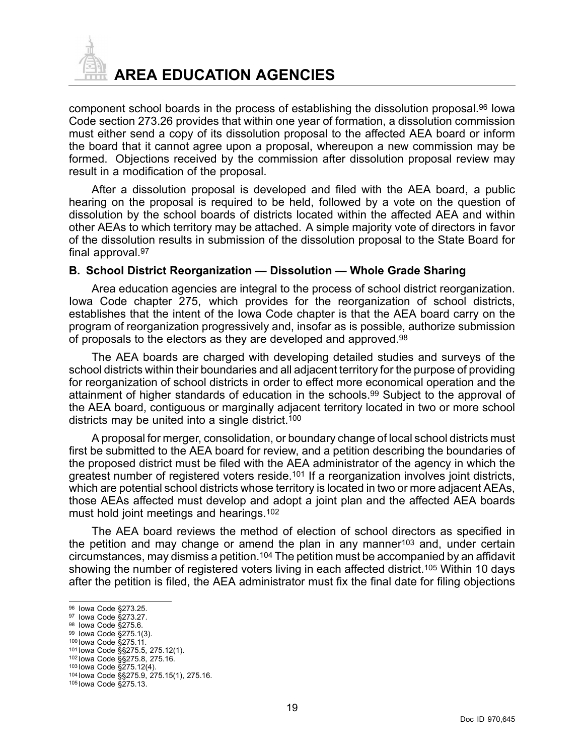<span id="page-19-0"></span>

component school boards in the process of establishing the dissolution proposal.<sup>96</sup> Iowa Code section 273.26 provides that within one year of formation, <sup>a</sup> dissolution commission must either send <sup>a</sup> copy of its dissolution proposal to the affected AEA board or inform the board that it cannot agree upon <sup>a</sup> proposal, whereupon <sup>a</sup> new commission may be formed. Objections received by the commission after dissolution proposal review may result in <sup>a</sup> modification of the proposal.

After <sup>a</sup> dissolution proposal is developed and filed with the AEA board, <sup>a</sup> public hearing on the proposal is required to be held, followed by <sup>a</sup> vote on the question of dissolution by the school boards of districts located within the affected AEA and within other AEAs to which territory may be attached. A simple majority vote of directors in favor of the dissolution results in submission of the dissolution proposal to the State Board for final approval.<sup>97</sup>

#### **B. School District Reorganization — Dissolution — Whole Grade Sharing**

Area education agencies are integral to the process of school district reorganization. Iowa Code chapter 275, which provides for the reorganization of school districts, establishes that the intent of the Iowa Code chapter is that the AEA board carry on the program of reorganization progressively and, insofar as is possible, authorize submission of proposals to the electors as they are developed and approved.<sup>98</sup>

The AEA boards are charged with developing detailed studies and surveys of the school districts within their boundaries and all adjacent territory for the purpose of providing for reorganization of school districts in order to effect more economical operation and the attainment of higher standards of education in the schools.<sup>99</sup> Subject to the approval of the AEA board, contiguous or marginally adjacent territory located in two or more school districts may be united into a single district.<sup>100</sup>

A proposal for merger, consolidation, or boundary change of local school districts must first be submitted to the AEA board for review, and <sup>a</sup> petition describing the boundaries of the proposed district must be filed with the AEA administrator of the agency in which the greatest number of registered voters reside.<sup>101</sup> If a reorganization involves joint districts, which are potential school districts whose territory is located in two or more adjacent AEAs, those AEAs affected must develop and adopt <sup>a</sup> joint plan and the affected AEA boards must hold joint meetings and hearings.<sup>102</sup>

The AEA board reviews the method of election of school directors as specified in the petition and may change or amend the plan in any manner<sup>103</sup> and, under certain circumstances, may dismiss <sup>a</sup> petition.<sup>104</sup> The petition must be accompanied by an affidavit showing the number of registered voters living in each affected district.<sup>105</sup> Within 10 days after the petition is filed, the AEA administrator must fix the final date for filing objections

<sup>96</sup> Iowa Code §273.25.

<sup>97</sup> Iowa Code §273.27.

<sup>&</sup>lt;sup>98</sup> Iowa Code §275.6.

<sup>99</sup> Iowa Code §275.1(3).

<sup>100</sup> Iowa Code §275.11.

<sup>101</sup> Iowa Code §§275.5, 275.12(1).

<sup>102</sup> Iowa Code §§275.8, 275.16.

<sup>103</sup> Iowa Code §275.12(4).

<sup>104</sup> Iowa Code §§275.9, 275.15(1), 275.16.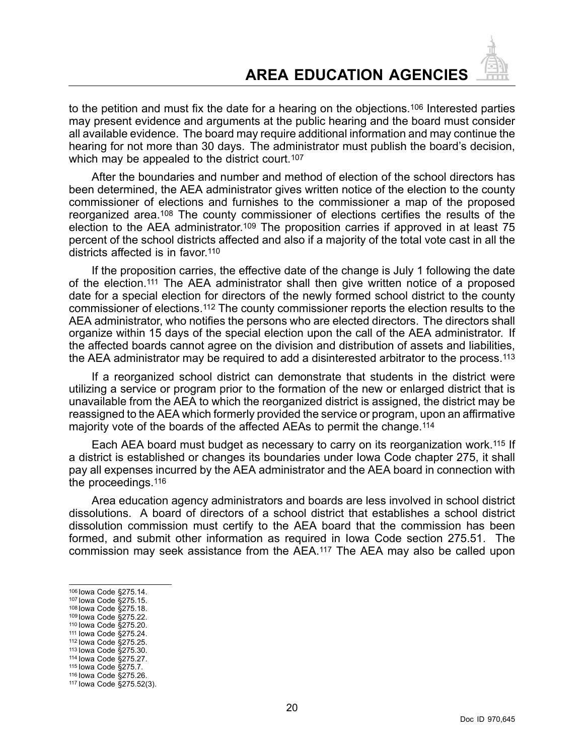to the petition and must fix the date for <sup>a</sup> hearing on the objections.<sup>106</sup> Interested parties may present evidence and arguments at the public hearing and the board must consider all available evidence. The board may require additional information and may continue the hearing for not more than 30 days. The administrator must publish the board's decision, which may be appealed to the district court.<sup>107</sup>

After the boundaries and number and method of election of the school directors has been determined, the AEA administrator gives written notice of the election to the county commissioner of elections and furnishes to the commissioner <sup>a</sup> map of the proposed reorganized area.<sup>108</sup> The county commissioner of elections certifies the results of the election to the AEA administrator.<sup>109</sup> The proposition carries if approved in at least 75 percent of the school districts affected and also if <sup>a</sup> majority of the total vote cast in all the districts affected is in favor.<sup>110</sup>

If the proposition carries, the effective date of the change is July 1 following the date of the election.<sup>111</sup> The AEA administrator shall then give written notice of <sup>a</sup> proposed date for <sup>a</sup> special election for directors of the newly formed school district to the county commissioner of elections.<sup>112</sup> The county commissioner reports the election results to the AEA administrator, who notifies the persons who are elected directors. The directors shall organize within 15 days of the special election upon the call of the AEA administrator. If the affected boards cannot agree on the division and distribution of assets and liabilities, the AEA administrator may be required to add <sup>a</sup> disinterested arbitrator to the process.<sup>113</sup>

If <sup>a</sup> reorganized school district can demonstrate that students in the district were utilizing <sup>a</sup> service or program prior to the formation of the new or enlarged district that is unavailable from the AEA to which the reorganized district is assigned, the district may be reassigned to the AEA which formerly provided the service or program, upon an affirmative majority vote of the boards of the affected AEAs to permit the change.<sup>114</sup>

Each AEA board must budget as necessary to carry on its reorganization work.<sup>115</sup> If <sup>a</sup> district is established or changes its boundaries under Iowa Code chapter 275, it shall pay all expenses incurred by the AEA administrator and the AEA board in connection with the proceedings.<sup>116</sup>

Area education agency administrators and boards are less involved in school district dissolutions. A board of directors of a school district that establishes a school district dissolution commission must certify to the AEA board that the commission has been formed, and submit other information as required in Iowa Code section 275.51. The commission may seek assistance from the AEA.<sup>117</sup> The AEA may also be called upon

- 108 Iowa Code §275.18. 109 Iowa Code §275.22.
- 110 Iowa Code §275.20.
- 111 Iowa Code §275.24.
- 112 Iowa Code §275.25.
- 113 Iowa Code §275.30.
- 114 Iowa Code §275.27.
- 115 Iowa Code §275.7. 116 Iowa Code §275.26.

<sup>106</sup> Iowa Code §275.14.

<sup>107</sup> Iowa Code §275.15.

<sup>117</sup> Iowa Code §275.52(3).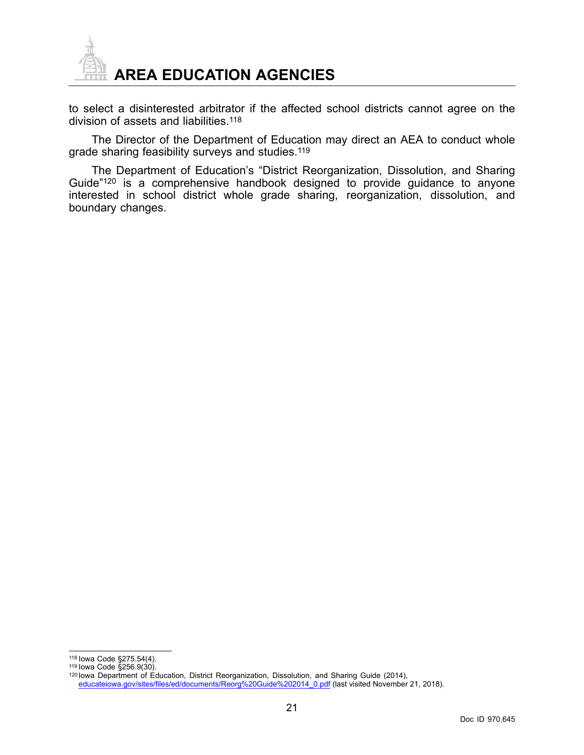

to select <sup>a</sup> disinterested arbitrator if the affected school districts cannot agree on the division of assets and liabilities.<sup>118</sup>

The Director of the Department of Education may direct an AEA to conduct whole grade sharing feasibility surveys and studies.<sup>119</sup>

The Department of Education's "District Reorganization, Dissolution, and Sharing Guide"<sup>120</sup> is <sup>a</sup> comprehensive handbook designed to provide guidance to anyone interested in school district whole grade sharing, reorganization, dissolution, and boundary changes.

118 Iowa Code §275.54(4).

<sup>119</sup> Iowa Code §256.9(30).

<sup>120</sup> Iowa Department of Education, District Reorganization, Dissolution, and Sharing Guide (2014), [educateiowa.gov/sites/files/ed/documents/Reorg%20Guide%202014\\_0.pdf](https://educateiowa.gov/sites/files/ed/documents/Reorg Guide 2014_0.pdf) (last visited November 21, 2018).